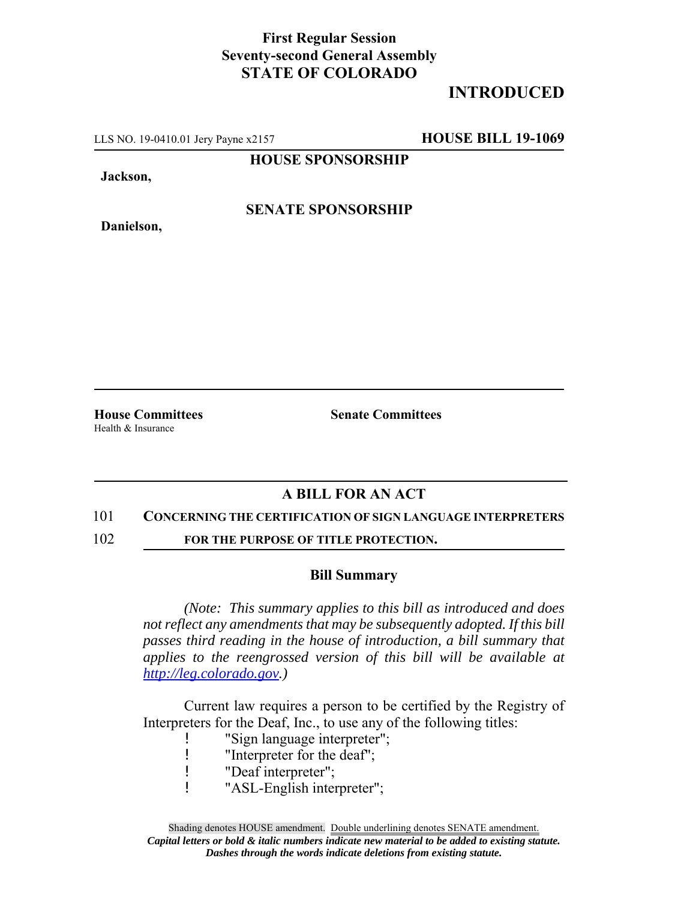### **First Regular Session Seventy-second General Assembly STATE OF COLORADO**

# **INTRODUCED**

LLS NO. 19-0410.01 Jery Payne x2157 **HOUSE BILL 19-1069**

**HOUSE SPONSORSHIP**

**Jackson,**

**Danielson,**

**SENATE SPONSORSHIP**

Health & Insurance

**House Committees Senate Committees**

### **A BILL FOR AN ACT**

#### 101 **CONCERNING THE CERTIFICATION OF SIGN LANGUAGE INTERPRETERS**

102 **FOR THE PURPOSE OF TITLE PROTECTION.** 

#### **Bill Summary**

*(Note: This summary applies to this bill as introduced and does not reflect any amendments that may be subsequently adopted. If this bill passes third reading in the house of introduction, a bill summary that applies to the reengrossed version of this bill will be available at http://leg.colorado.gov.)*

Current law requires a person to be certified by the Registry of Interpreters for the Deaf, Inc., to use any of the following titles:

- ! "Sign language interpreter";
- ! "Interpreter for the deaf";
- ! "Deaf interpreter";
- ! "ASL-English interpreter";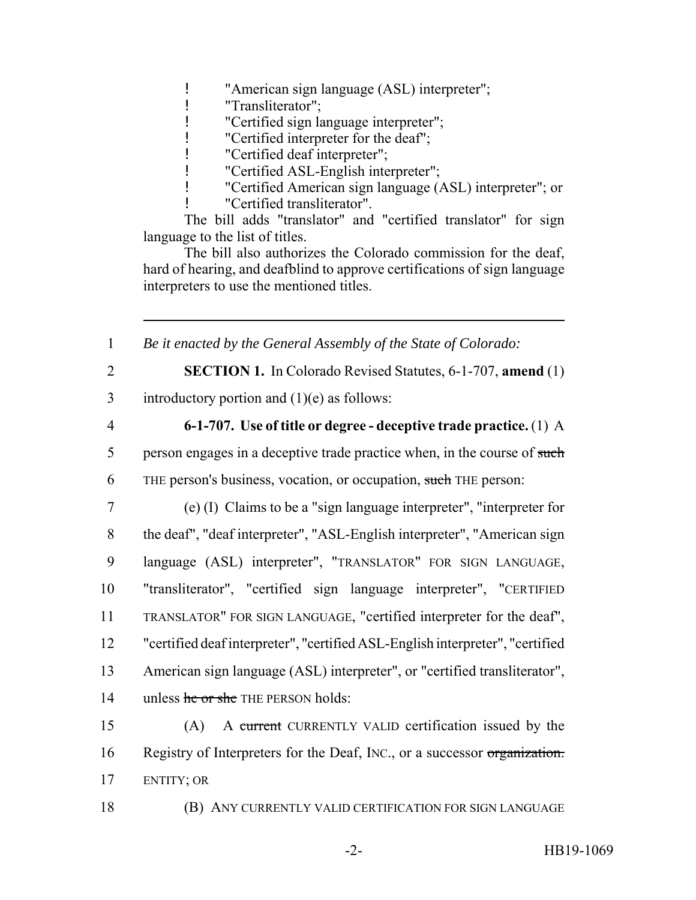! "American sign language (ASL) interpreter";

! "Transliterator";

! "Certified sign language interpreter";

! "Certified interpreter for the deaf";

! "Certified deaf interpreter";

! "Certified ASL-English interpreter";

! "Certified American sign language (ASL) interpreter"; or

! "Certified transliterator".

The bill adds "translator" and "certified translator" for sign language to the list of titles.

The bill also authorizes the Colorado commission for the deaf, hard of hearing, and deafblind to approve certifications of sign language interpreters to use the mentioned titles.

1 *Be it enacted by the General Assembly of the State of Colorado:*

2 **SECTION 1.** In Colorado Revised Statutes, 6-1-707, **amend** (1) 3 introductory portion and  $(1)(e)$  as follows:

## 4 **6-1-707. Use of title or degree - deceptive trade practice.** (1) A

5 person engages in a deceptive trade practice when, in the course of such 6 THE person's business, vocation, or occupation, such THE person:

 (e) (I) Claims to be a "sign language interpreter", "interpreter for the deaf", "deaf interpreter", "ASL-English interpreter", "American sign language (ASL) interpreter", "TRANSLATOR" FOR SIGN LANGUAGE, "transliterator", "certified sign language interpreter", "CERTIFIED TRANSLATOR" FOR SIGN LANGUAGE, "certified interpreter for the deaf", "certified deaf interpreter", "certified ASL-English interpreter", "certified American sign language (ASL) interpreter", or "certified transliterator", 14 unless he or she THE PERSON holds:

15 (A) A current CURRENTLY VALID certification issued by the 16 Registry of Interpreters for the Deaf, INC., or a successor organization. 17 ENTITY; OR

18 (B) ANY CURRENTLY VALID CERTIFICATION FOR SIGN LANGUAGE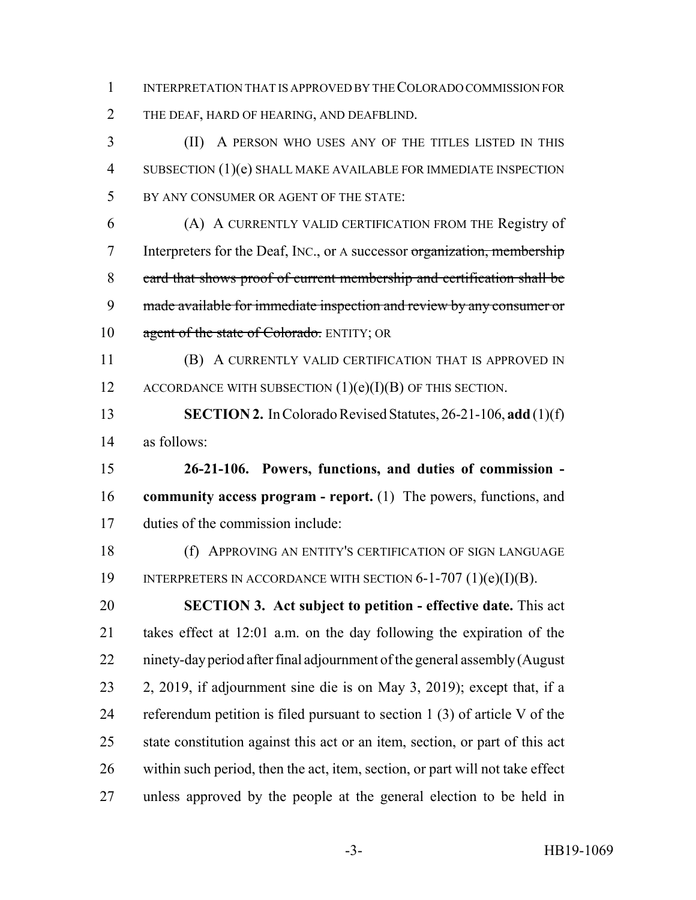INTERPRETATION THAT IS APPROVED BY THE COLORADO COMMISSION FOR THE DEAF, HARD OF HEARING, AND DEAFBLIND.

 (II) A PERSON WHO USES ANY OF THE TITLES LISTED IN THIS SUBSECTION (1)(e) SHALL MAKE AVAILABLE FOR IMMEDIATE INSPECTION BY ANY CONSUMER OR AGENT OF THE STATE:

 (A) A CURRENTLY VALID CERTIFICATION FROM THE Registry of Interpreters for the Deaf, INC., or A successor organization, membership card that shows proof of current membership and certification shall be made available for immediate inspection and review by any consumer or 10 agent of the state of Colorado. ENTITY; OR

 (B) A CURRENTLY VALID CERTIFICATION THAT IS APPROVED IN 12 ACCORDANCE WITH SUBSECTION  $(1)(e)(I)(B)$  OF THIS SECTION.

 **SECTION 2.** In Colorado Revised Statutes, 26-21-106, **add** (1)(f) as follows:

 **26-21-106. Powers, functions, and duties of commission - community access program - report.** (1) The powers, functions, and duties of the commission include:

 (f) APPROVING AN ENTITY'S CERTIFICATION OF SIGN LANGUAGE 19 INTERPRETERS IN ACCORDANCE WITH SECTION 6-1-707 (1)(e)(I)(B).

 **SECTION 3. Act subject to petition - effective date.** This act takes effect at 12:01 a.m. on the day following the expiration of the ninety-day period after final adjournment of the general assembly (August 2, 2019, if adjournment sine die is on May 3, 2019); except that, if a referendum petition is filed pursuant to section 1 (3) of article V of the state constitution against this act or an item, section, or part of this act within such period, then the act, item, section, or part will not take effect unless approved by the people at the general election to be held in